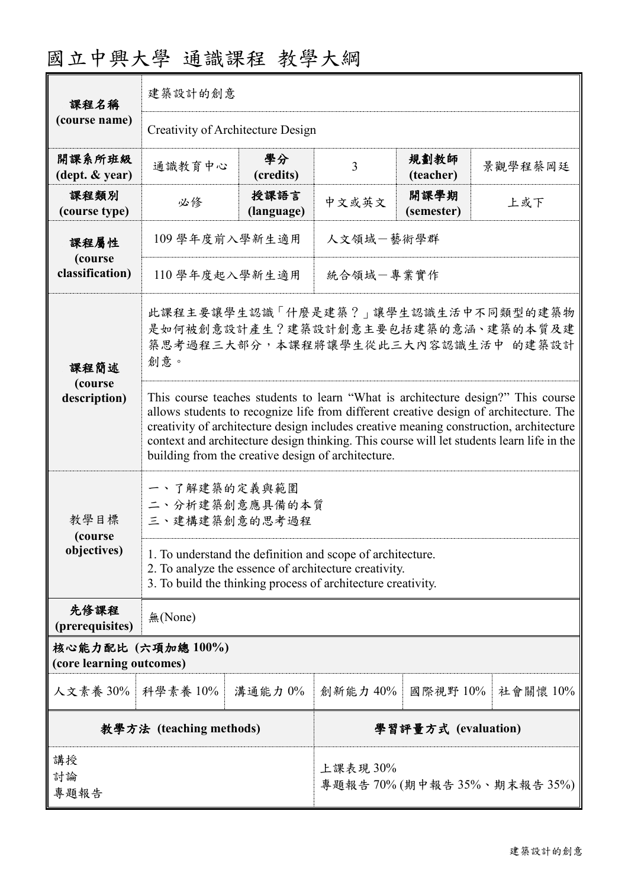| 課程名稱                                          | 建築設計的創意                                                                                                                                                                                                                                                                                                                                                                                                                |                    |                     |                    |                              |  |
|-----------------------------------------------|------------------------------------------------------------------------------------------------------------------------------------------------------------------------------------------------------------------------------------------------------------------------------------------------------------------------------------------------------------------------------------------------------------------------|--------------------|---------------------|--------------------|------------------------------|--|
| (course name)                                 | Creativity of Architecture Design                                                                                                                                                                                                                                                                                                                                                                                      |                    |                     |                    |                              |  |
| 開課系所班級<br>(dept. & year)                      | 通識教育中心                                                                                                                                                                                                                                                                                                                                                                                                                 | 學分<br>(credits)    | $\overline{3}$      | 規劃教師<br>(teacher)  | 景觀學程蔡岡廷                      |  |
| 課程類別<br>(course type)                         | 必修                                                                                                                                                                                                                                                                                                                                                                                                                     | 授課語言<br>(language) | 中文或英文               | 開課學期<br>(semester) | 上或下                          |  |
| 課程屬性<br>(course<br>classification)            | 人文領域一藝術學群<br>109 學年度前入學新生適用                                                                                                                                                                                                                                                                                                                                                                                            |                    |                     |                    |                              |  |
|                                               | 統合領域一專業實作<br>110 學年度起入學新生適用                                                                                                                                                                                                                                                                                                                                                                                            |                    |                     |                    |                              |  |
| 課程簡述                                          | 此課程主要讓學生認識「什麼是建築?」讓學生認識生活中不同類型的建築物<br>是如何被創意設計產生?建築設計創意主要包括建築的意涵、建築的本質及建<br>築思考過程三大部分,本課程將讓學生從此三大內容認識生活中 的建築設計<br>創意。                                                                                                                                                                                                                                                                                                  |                    |                     |                    |                              |  |
| (course<br>description)                       | This course teaches students to learn "What is architecture design?" This course<br>allows students to recognize life from different creative design of architecture. The<br>creativity of architecture design includes creative meaning construction, architecture<br>context and architecture design thinking. This course will let students learn life in the<br>building from the creative design of architecture. |                    |                     |                    |                              |  |
| 教學目標<br>(course)<br>objectives)               | 一、了解建築的定義與範圍<br>二、分析建築創意應具備的本質<br>三、建構建築創意的思考過程                                                                                                                                                                                                                                                                                                                                                                        |                    |                     |                    |                              |  |
|                                               | 1. To understand the definition and scope of architecture.<br>2. To analyze the essence of architecture creativity.<br>3. To build the thinking process of architecture creativity.                                                                                                                                                                                                                                    |                    |                     |                    |                              |  |
| 先修課程<br>(prerequisites)                       | 無(None)                                                                                                                                                                                                                                                                                                                                                                                                                |                    |                     |                    |                              |  |
| 核心能力配比 (六項加總100%)<br>(core learning outcomes) |                                                                                                                                                                                                                                                                                                                                                                                                                        |                    |                     |                    |                              |  |
| 人文素養 30%                                      | 科學素養 10%                                                                                                                                                                                                                                                                                                                                                                                                               | 溝通能力 0%            | 創新能力 40%            | 國際視野 10%           | 社會關懷 10%                     |  |
| 教學方法 (teaching methods)                       |                                                                                                                                                                                                                                                                                                                                                                                                                        |                    | 學習評量方式 (evaluation) |                    |                              |  |
| 講授<br>討論<br>專題報告                              |                                                                                                                                                                                                                                                                                                                                                                                                                        |                    | 上課表現30%             |                    | 專題報告 70% (期中報告 35%、期末報告 35%) |  |

# 國立中興大學 通識課程 教學大綱